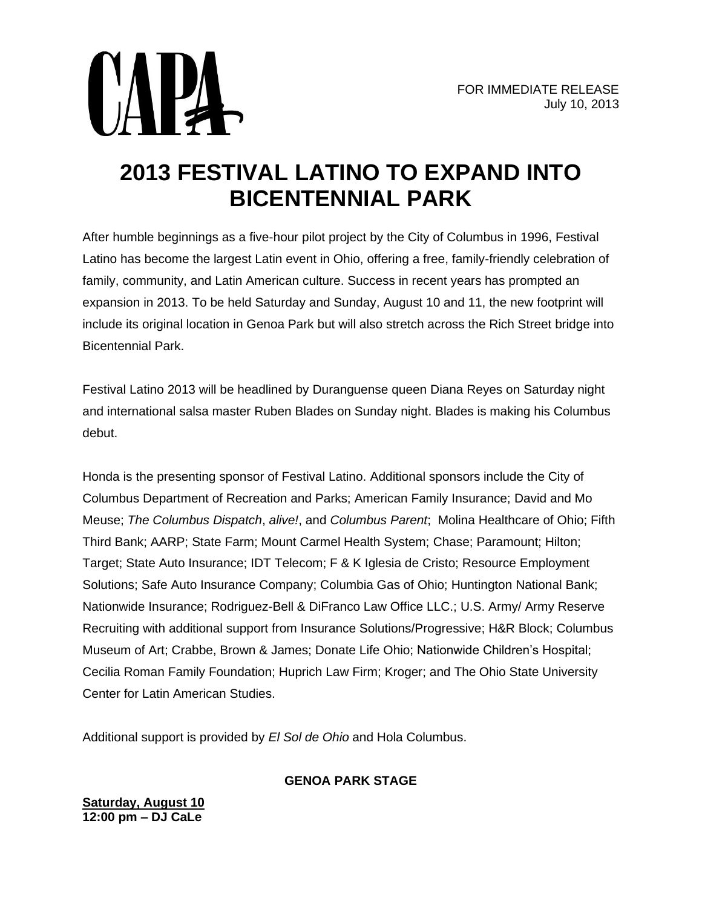



After humble beginnings as a five-hour pilot project by the City of Columbus in 1996, Festival Latino has become the largest Latin event in Ohio, offering a free, family-friendly celebration of family, community, and Latin American culture. Success in recent years has prompted an expansion in 2013. To be held Saturday and Sunday, August 10 and 11, the new footprint will include its original location in Genoa Park but will also stretch across the Rich Street bridge into Bicentennial Park.

Festival Latino 2013 will be headlined by Duranguense queen Diana Reyes on Saturday night and international salsa master Ruben Blades on Sunday night. Blades is making his Columbus debut.

Honda is the presenting sponsor of Festival Latino. Additional sponsors include the City of Columbus Department of Recreation and Parks; American Family Insurance; David and Mo Meuse; *The Columbus Dispatch*, *alive!*, and *Columbus Parent*; Molina Healthcare of Ohio; Fifth Third Bank; AARP; State Farm; Mount Carmel Health System; Chase; Paramount; Hilton; Target; State Auto Insurance; IDT Telecom; F & K Iglesia de Cristo; Resource Employment Solutions; Safe Auto Insurance Company; Columbia Gas of Ohio; Huntington National Bank; Nationwide Insurance; Rodriguez-Bell & DiFranco Law Office LLC.; U.S. Army/ Army Reserve Recruiting with additional support from Insurance Solutions/Progressive; H&R Block; Columbus Museum of Art; Crabbe, Brown & James; Donate Life Ohio; Nationwide Children's Hospital; Cecilia Roman Family Foundation; Huprich Law Firm; Kroger; and The Ohio State University Center for Latin American Studies.

Additional support is provided by *El Sol de Ohio* and Hola Columbus.

## **GENOA PARK STAGE**

**Saturday, August 10 12:00 pm – DJ CaLe**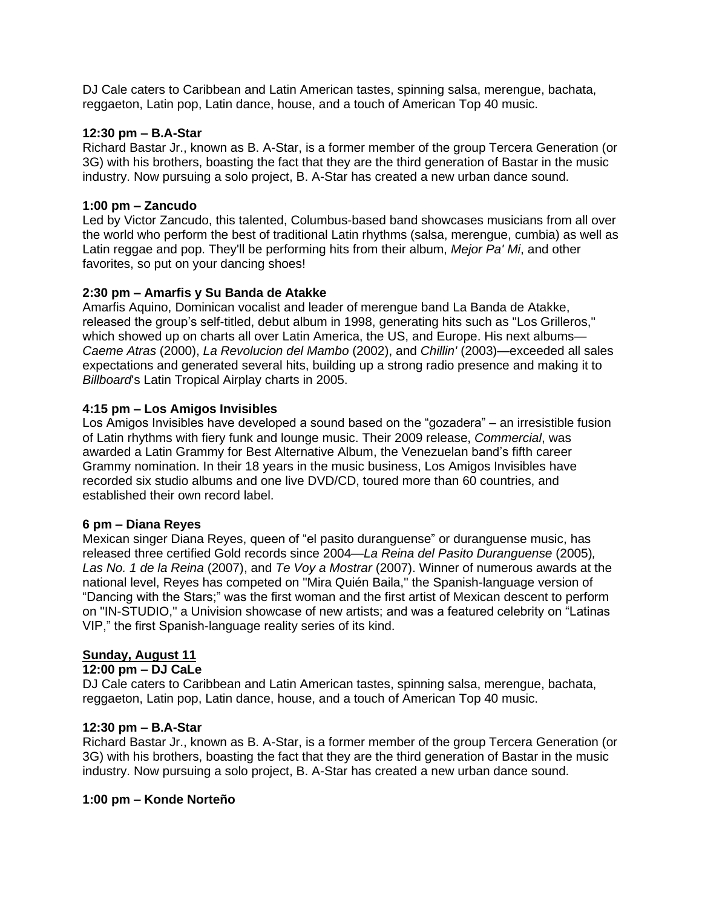DJ Cale caters to Caribbean and Latin American tastes, spinning salsa, merengue, bachata, reggaeton, Latin pop, Latin dance, house, and a touch of American Top 40 music.

### **12:30 pm – B.A-Star**

Richard Bastar Jr., known as B. A-Star, is a former member of the group Tercera Generation (or 3G) with his brothers, boasting the fact that they are the third generation of Bastar in the music industry. Now pursuing a solo project, B. A-Star has created a new urban dance sound.

### **1:00 pm – Zancudo**

Led by Victor Zancudo, this talented, Columbus-based band showcases musicians from all over the world who perform the best of traditional Latin rhythms (salsa, merengue, cumbia) as well as Latin reggae and pop. They'll be performing hits from their album, *Mejor Pa' Mi*, and other favorites, so put on your dancing shoes!

## **2:30 pm – Amarfis y Su Banda de Atakke**

Amarfis Aquino, Dominican vocalist and leader of merengue band La Banda de Atakke, released the group's self-titled, debut album in 1998, generating hits such as "Los Grilleros," which showed up on charts all over Latin America, the US, and Europe. His next albums— *Caeme Atras* (2000), *La Revolucion del Mambo* (2002), and *Chillin'* (2003)—exceeded all sales expectations and generated several hits, building up a strong radio presence and making it to *Billboard*'s Latin Tropical Airplay charts in 2005.

## **4:15 pm – Los Amigos Invisibles**

Los Amigos Invisibles have developed a sound based on the "gozadera" – an irresistible fusion of Latin rhythms with fiery funk and lounge music. Their 2009 release, *Commercial*, was awarded a Latin Grammy for Best Alternative Album, the Venezuelan band's fifth career Grammy nomination. In their 18 years in the music business, Los Amigos Invisibles have recorded six studio albums and one live DVD/CD, toured more than 60 countries, and established their own record label.

### **6 pm – Diana Reyes**

Mexican singer Diana Reyes, queen of "el pasito duranguense" or duranguense music, has released three certified Gold records since 2004—*La Reina del Pasito Duranguense* (2005)*, Las No. 1 de la Reina* (2007), and *Te Voy a Mostrar* (2007). Winner of numerous awards at the national level, Reyes has competed on "Mira Quién Baila," the Spanish-language version of "Dancing with the Stars;" was the first woman and the first artist of Mexican descent to perform on "IN-STUDIO," a Univision showcase of new artists; and was a featured celebrity on "Latinas VIP," the first Spanish-language reality series of its kind.

### **Sunday, August 11**

### **12:00 pm – DJ CaLe**

DJ Cale caters to Caribbean and Latin American tastes, spinning salsa, merengue, bachata, reggaeton, Latin pop, Latin dance, house, and a touch of American Top 40 music.

### **12:30 pm – B.A-Star**

Richard Bastar Jr., known as B. A-Star, is a former member of the group Tercera Generation (or 3G) with his brothers, boasting the fact that they are the third generation of Bastar in the music industry. Now pursuing a solo project, B. A-Star has created a new urban dance sound.

### **1:00 pm – Konde Norteño**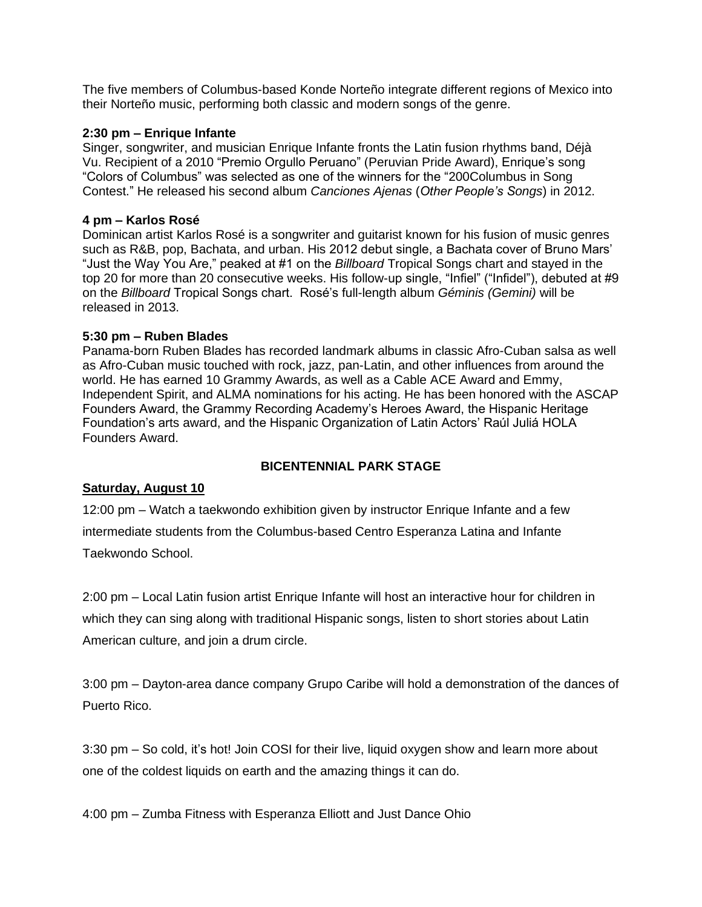The five members of Columbus-based Konde Norteño integrate different regions of Mexico into their Norteño music, performing both classic and modern songs of the genre.

### **2:30 pm – Enrique Infante**

Singer, songwriter, and musician Enrique Infante fronts the Latin fusion rhythms band, Déjà Vu. Recipient of a 2010 "Premio Orgullo Peruano" (Peruvian Pride Award), Enrique's song "Colors of Columbus" was selected as one of the winners for the "200Columbus in Song Contest." He released his second album *Canciones Ajenas* (*Other People's Songs*) in 2012.

### **4 pm – Karlos Rosé**

Dominican artist Karlos Rosé is a songwriter and guitarist known for his fusion of music genres such as R&B, pop, Bachata, and urban. His 2012 debut single, a Bachata cover of Bruno Mars' "Just the Way You Are," peaked at #1 on the *Billboard* Tropical Songs chart and stayed in the top 20 for more than 20 consecutive weeks. His follow-up single, "Infiel" ("Infidel"), debuted at #9 on the *Billboard* Tropical Songs chart. Rosé's full-length album *Géminis (Gemini)* will be released in 2013.

### **5:30 pm – Ruben Blades**

Panama-born Ruben Blades has recorded landmark albums in classic Afro-Cuban salsa as well as Afro-Cuban music touched with rock, jazz, pan-Latin, and other influences from around the world. He has earned 10 Grammy Awards, as well as a Cable ACE Award and Emmy, Independent Spirit, and ALMA nominations for his acting. He has been honored with the ASCAP Founders Award, the Grammy Recording Academy's Heroes Award, the Hispanic Heritage Foundation's arts award, and the Hispanic Organization of Latin Actors' Raúl Juliá HOLA Founders Award.

## **BICENTENNIAL PARK STAGE**

## **Saturday, August 10**

12:00 pm – Watch a taekwondo exhibition given by instructor Enrique Infante and a few intermediate students from the Columbus-based Centro Esperanza Latina and Infante Taekwondo School.

2:00 pm – Local Latin fusion artist Enrique Infante will host an interactive hour for children in which they can sing along with traditional Hispanic songs, listen to short stories about Latin American culture, and join a drum circle.

3:00 pm – Dayton-area dance company Grupo Caribe will hold a demonstration of the dances of Puerto Rico.

3:30 pm – So cold, it's hot! Join COSI for their live, liquid oxygen show and learn more about one of the coldest liquids on earth and the amazing things it can do.

4:00 pm – Zumba Fitness with Esperanza Elliott and Just Dance Ohio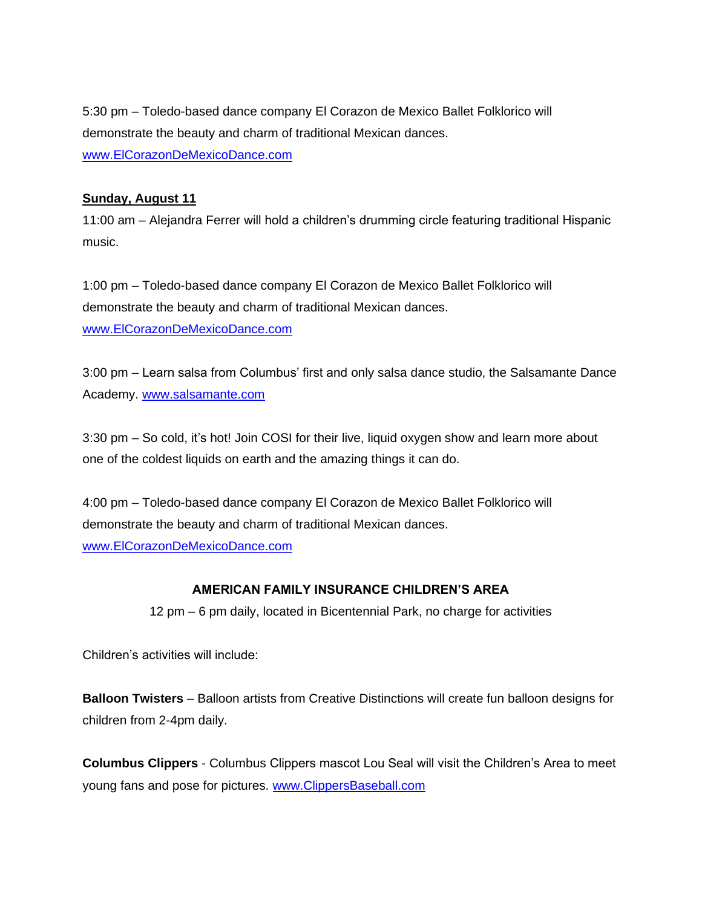5:30 pm – Toledo-based dance company El Corazon de Mexico Ballet Folklorico will demonstrate the beauty and charm of traditional Mexican dances. [www.ElCorazonDeMexicoDance.com](http://www.elcorazondemexicodance.com/)

## **Sunday, August 11**

11:00 am – Alejandra Ferrer will hold a children's drumming circle featuring traditional Hispanic music.

1:00 pm – Toledo-based dance company El Corazon de Mexico Ballet Folklorico will demonstrate the beauty and charm of traditional Mexican dances. [www.ElCorazonDeMexicoDance.com](http://www.elcorazondemexicodance.com/)

3:00 pm – Learn salsa from Columbus' first and only salsa dance studio, the Salsamante Dance Academy. [www.salsamante.com](http://www.salsamante.com/)

3:30 pm – So cold, it's hot! Join COSI for their live, liquid oxygen show and learn more about one of the coldest liquids on earth and the amazing things it can do.

4:00 pm – Toledo-based dance company El Corazon de Mexico Ballet Folklorico will demonstrate the beauty and charm of traditional Mexican dances. [www.ElCorazonDeMexicoDance.com](http://www.elcorazondemexicodance.com/)

# **AMERICAN FAMILY INSURANCE CHILDREN'S AREA**

12 pm – 6 pm daily, located in Bicentennial Park, no charge for activities

Children's activities will include:

**Balloon Twisters** – Balloon artists from Creative Distinctions will create fun balloon designs for children from 2-4pm daily.

**Columbus Clippers** - Columbus Clippers mascot Lou Seal will visit the Children's Area to meet young fans and pose for pictures. [www.ClippersBaseball.com](http://www.clippersbaseball.com/)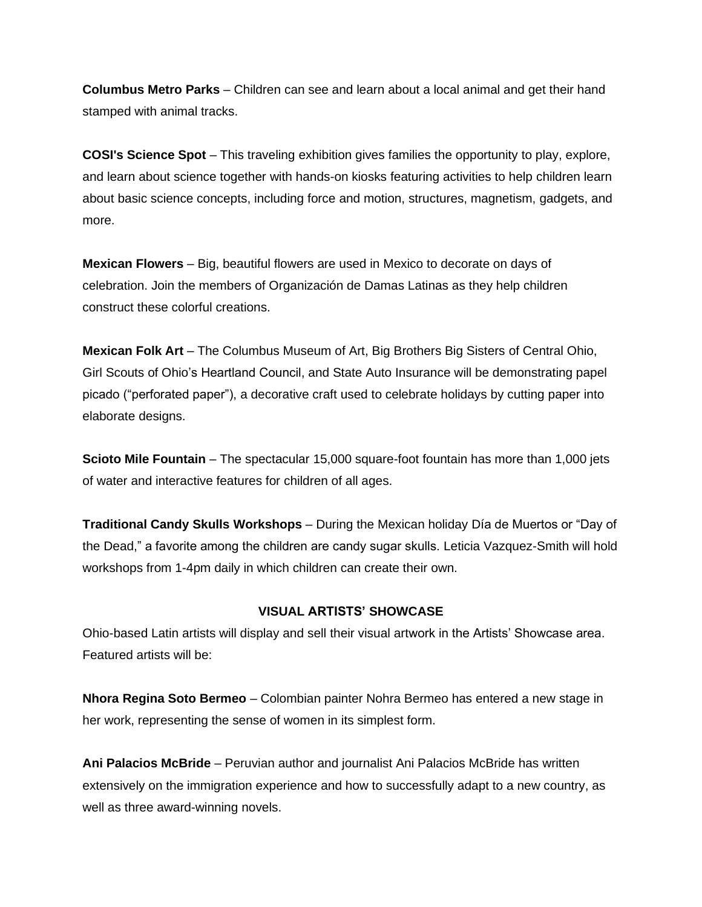**Columbus Metro Parks** – Children can see and learn about a local animal and get their hand stamped with animal tracks.

**COSI's Science Spot** – This traveling exhibition gives families the opportunity to play, explore, and learn about science together with hands-on kiosks featuring activities to help children learn about basic science concepts, including force and motion, structures, magnetism, gadgets, and more.

**Mexican Flowers** – Big, beautiful flowers are used in Mexico to decorate on days of celebration. Join the members of Organización de Damas Latinas as they help children construct these colorful creations.

**Mexican Folk Art** – The Columbus Museum of Art, Big Brothers Big Sisters of Central Ohio, Girl Scouts of Ohio's Heartland Council, and State Auto Insurance will be demonstrating papel picado ("perforated paper"), a decorative craft used to celebrate holidays by cutting paper into elaborate designs.

**Scioto Mile Fountain** – The spectacular 15,000 square-foot fountain has more than 1,000 jets of water and interactive features for children of all ages.

**Traditional Candy Skulls Workshops** – During the Mexican holiday Día de Muertos or "Day of the Dead," a favorite among the children are candy sugar skulls. Leticia Vazquez-Smith will hold workshops from 1-4pm daily in which children can create their own.

## **VISUAL ARTISTS' SHOWCASE**

Ohio-based Latin artists will display and sell their visual artwork in the Artists' Showcase area. Featured artists will be:

**Nhora Regina Soto Bermeo** – Colombian painter Nohra Bermeo has entered a new stage in her work, representing the sense of women in its simplest form.

**Ani Palacios McBride** – Peruvian author and journalist Ani Palacios McBride has written extensively on the immigration experience and how to successfully adapt to a new country, as well as three award-winning novels.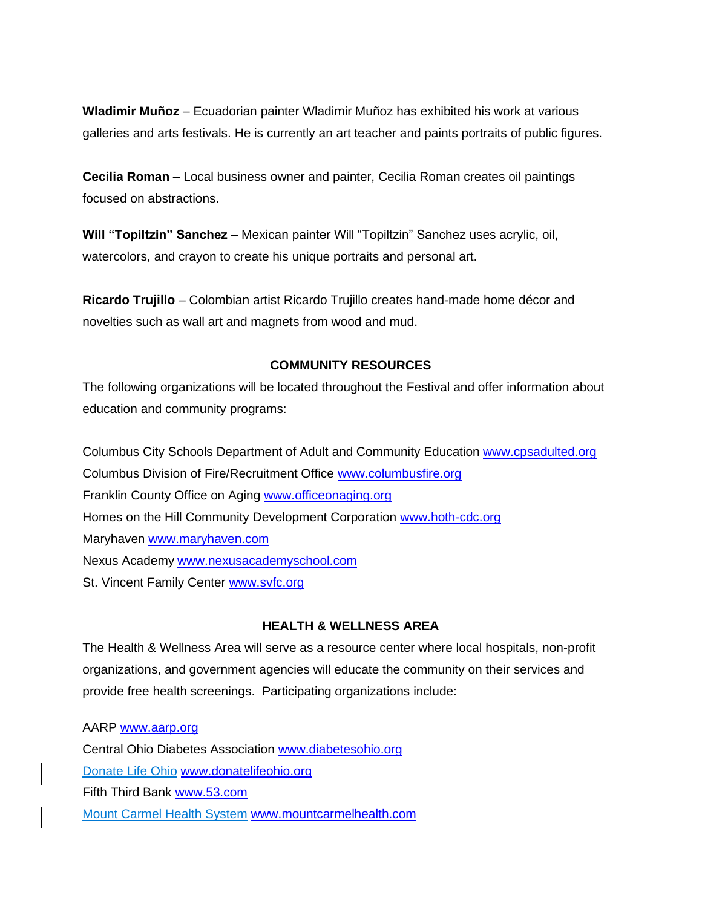**Wladimir Muñoz** – Ecuadorian painter Wladimir Muñoz has exhibited his work at various galleries and arts festivals. He is currently an art teacher and paints portraits of public figures.

**Cecilia Roman** – Local business owner and painter, Cecilia Roman creates oil paintings focused on abstractions.

**Will "Topiltzin" Sanchez** – Mexican painter Will "Topiltzin" Sanchez uses acrylic, oil, watercolors, and crayon to create his unique portraits and personal art.

**Ricardo Trujillo** – Colombian artist Ricardo Trujillo creates hand-made home décor and novelties such as wall art and magnets from wood and mud.

## **COMMUNITY RESOURCES**

The following organizations will be located throughout the Festival and offer information about education and community programs:

Columbus City Schools Department of Adult and Community Education [www.cpsadulted.org](http://www.cpsadulted.org/) Columbus Division of Fire/Recruitment Office [www.columbusfire.org](http://www.columbusfire.org/) Franklin County Office on Aging [www.officeonaging.org](http://www.officeonaging.org/) Homes on the Hill Community Development Corporation [www.hoth-cdc.org](http://www.hoth-cdc.org/) Maryhaven [www.maryhaven.com](http://www.maryhaven.com/) Nexus Academy [www.nexusacademyschool.com](http://www.nexusacademyschool.com/) St. Vincent Family Center [www.svfc.org](http://www.svfc.org/)

## **HEALTH & WELLNESS AREA**

The Health & Wellness Area will serve as a resource center where local hospitals, non-profit organizations, and government agencies will educate the community on their services and provide free health screenings. Participating organizations include:

AARP [www.aarp.org](http://www.aarp.org/) Central Ohio Diabetes Association [www.diabetesohio.org](http://www.diabetesohio.org/) Donate Life Ohio [www.donatelifeohio.org](http://www.donatelifeohio.org/) Fifth Third Bank [www.53.com](http://www.53.com/) Mount Carmel Health System [www.mountcarmelhealth.com](http://www.mountcarmelhealth.com/)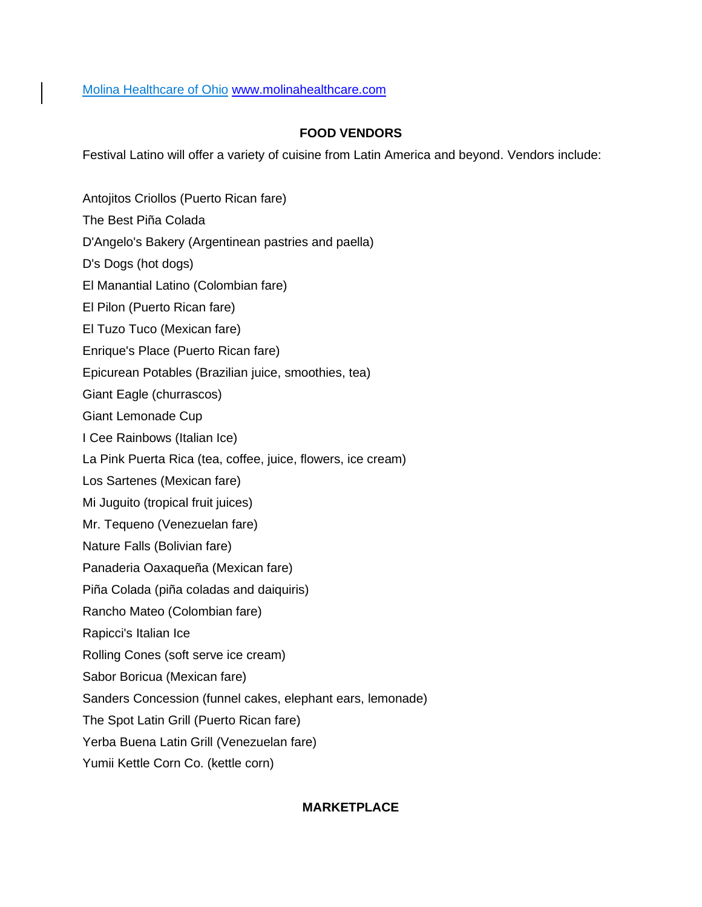Molina Healthcare of Ohio [www.molinahealthcare.com](http://www.molinahealthcare.com/)

# **FOOD VENDORS**

Festival Latino will offer a variety of cuisine from Latin America and beyond. Vendors include:

Antojitos Criollos (Puerto Rican fare) The Best Piña Colada D'Angelo's Bakery (Argentinean pastries and paella) D's Dogs (hot dogs) El Manantial Latino (Colombian fare) El Pilon (Puerto Rican fare) El Tuzo Tuco (Mexican fare) Enrique's Place (Puerto Rican fare) Epicurean Potables (Brazilian juice, smoothies, tea) Giant Eagle (churrascos) Giant Lemonade Cup I Cee Rainbows (Italian Ice) La Pink Puerta Rica (tea, coffee, juice, flowers, ice cream) Los Sartenes (Mexican fare) Mi Juguito (tropical fruit juices) Mr. Tequeno (Venezuelan fare) Nature Falls (Bolivian fare) Panaderia Oaxaqueña (Mexican fare) Piña Colada (piña coladas and daiquiris) Rancho Mateo (Colombian fare) Rapicci's Italian Ice Rolling Cones (soft serve ice cream) Sabor Boricua (Mexican fare) Sanders Concession (funnel cakes, elephant ears, lemonade) The Spot Latin Grill (Puerto Rican fare) Yerba Buena Latin Grill (Venezuelan fare) Yumii Kettle Corn Co. (kettle corn)

# **MARKETPLACE**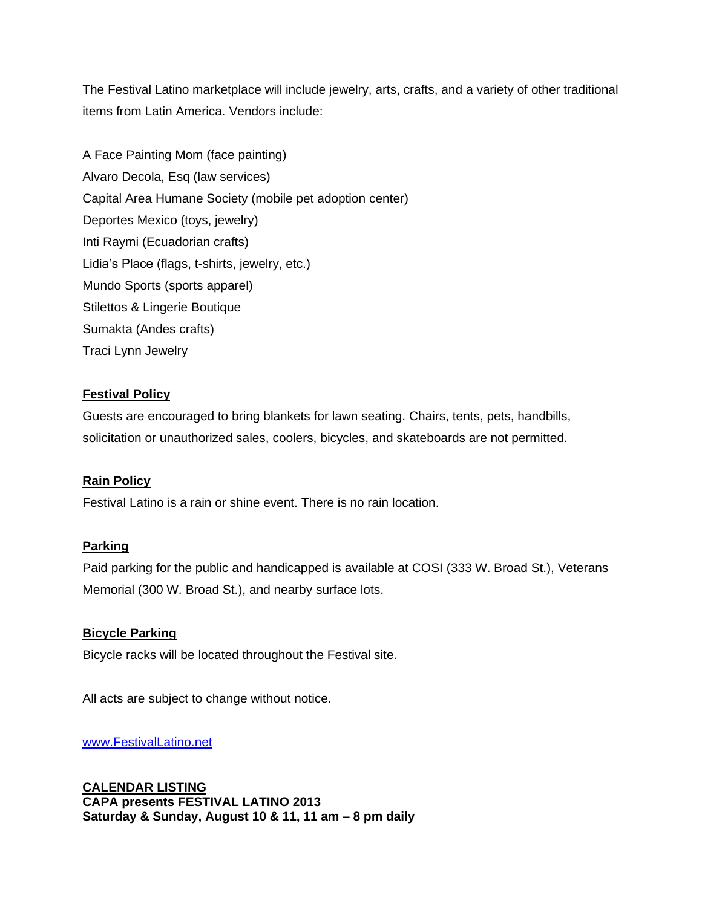The Festival Latino marketplace will include jewelry, arts, crafts, and a variety of other traditional items from Latin America. Vendors include:

A Face Painting Mom (face painting) Alvaro Decola, Esq (law services) Capital Area Humane Society (mobile pet adoption center) Deportes Mexico (toys, jewelry) Inti Raymi (Ecuadorian crafts) Lidia's Place (flags, t-shirts, jewelry, etc.) Mundo Sports (sports apparel) Stilettos & Lingerie Boutique Sumakta (Andes crafts) Traci Lynn Jewelry

## **Festival Policy**

Guests are encouraged to bring blankets for lawn seating. Chairs, tents, pets, handbills, solicitation or unauthorized sales, coolers, bicycles, and skateboards are not permitted.

## **Rain Policy**

Festival Latino is a rain or shine event. There is no rain location.

### **Parking**

Paid parking for the public and handicapped is available at COSI (333 W. Broad St.), Veterans Memorial (300 W. Broad St.), and nearby surface lots.

### **Bicycle Parking**

Bicycle racks will be located throughout the Festival site.

All acts are subject to change without notice.

### [www.FestivalLatino.net](http://www.festivallatino.net/)

**CALENDAR LISTING CAPA presents FESTIVAL LATINO 2013 Saturday & Sunday, August 10 & 11, 11 am – 8 pm daily**